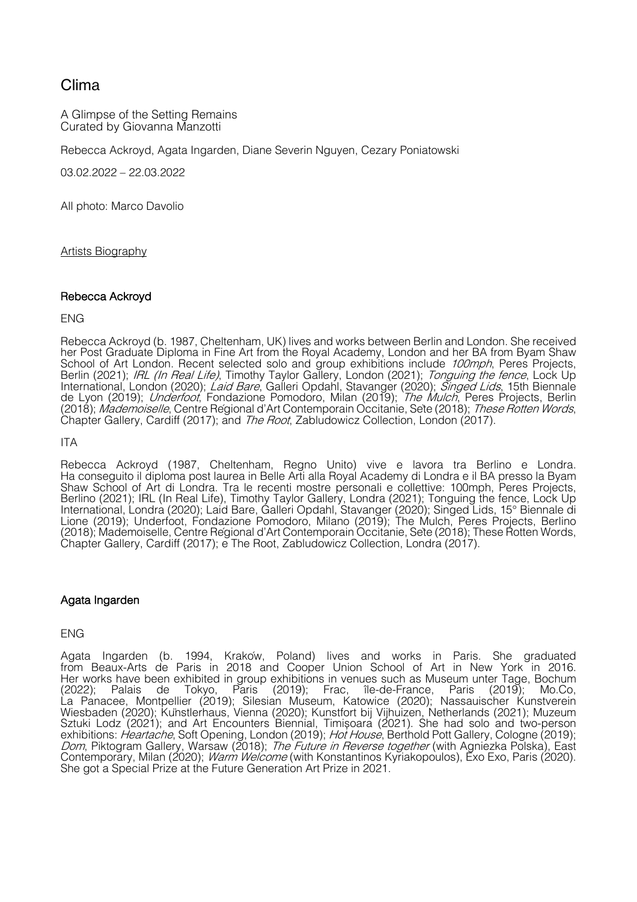# Clima

A Glimpse of the Setting Remains Curated by Giovanna Manzotti

Rebecca Ackroyd, Agata Ingarden, Diane Severin Nguyen, Cezary Poniatowski

03.02.2022 – 22.03.2022

All photo: Marco Davolio

Artists Biography

### Rebecca Ackroyd

### ENG

Rebecca Ackroyd (b. 1987, Cheltenham, UK) lives and works between Berlin and London. She received her Post Graduate Diploma in Fine Art from the Royal Academy, London and her BA from Byam Shaw School of Art London. Recent selected solo and group exhibitions include 100mph, Peres Projects, Berlin (2021); IRL (In Real Life), Timothy Taylor Gallery, London (2021); Tonguing the fence, Lock Up International, London (2020); *Laid Bare*, Galleri Opdahl, Stavanger (2020); *Singed Lids*, 15th Biennale de Lyon (2019); Underfoot, Fondazione Pomodoro, Milan (2019); The Mulch, Peres Projects, Berlin (2018); Mademoiselle, Centre Régional d'Art Contemporain Occitanie, Sète (2018); These Rotten Words, Chapter Gallery, Cardiff (2017); and The Root, Zabludowicz Collection, London (2017).

# ITA

Rebecca Ackroyd (1987, Cheltenham, Regno Unito) vive e lavora tra Berlino e Londra. Ha conseguito il diploma post laurea in Belle Arti alla Royal Academy di Londra e il BA presso la Byam Shaw School of Art di Londra. Tra le recenti mostre personali e collettive: 100mph, Peres Projects, Berlino (2021); IRL (In Real Life), Timothy Taylor Gallery, Londra (2021); Tonguing the fence, Lock Up International, Londra (2020); Laid Bare, Galleri Opdahl, Stavanger (2020); Singed Lids, 15° Biennale di Lione (2019); Underfoot, Fondazione Pomodoro, Milano (2019); The Mulch, Peres Projects, Berlino (2018); Mademoiselle, Centre Regional d'Art Contemporain Occitanie, Sete (2018); These Rotten Words, Chapter Gallery, Cardiff (2017); e The Root, Zabludowicz Collection, Londra (2017).

# Agata Ingarden

#### ENG

Agata Ingarden (b. 1994, Kraków, Poland) lives and works in Paris. She graduated from Beaux-Arts de Paris in 2018 and Cooper Union School of Art in New York in 2016. Her works have been exhibited in group exhibitions in venues such as Museum unter Tage, Bochum (2022); Palais de Tokyo, Paris (2019); Frac, île-de-France, Paris (2019); Mo.Co, La Panacee, Montpellier (2019); Silesian Museum, Katowice (2020); Nassauischer Kunstverein Wiesbaden (2020); Künstlerhaus, Vienna (2020); Kunstfort bij Vijhuizen, Netherlands (2021); Muzeum Sztuki Lodz (2021); and Art Encounters Biennial, Timisoara (2021). She had solo and two ̦ -person exhibitions: Heartache, Soft Opening, London (2019); Hot House, Berthold Pott Gallery, Cologne (2019); Dom, Piktogram Gallery, Warsaw (2018); The Future in Reverse together (with Agniezka Polska), East Contemporary, Milan (2020); *Warm Welcome* (with Konstantinos Kyriakopoulos), Exo Exo, Paris (2020). She got a Special Prize at the Future Generation Art Prize in 2021.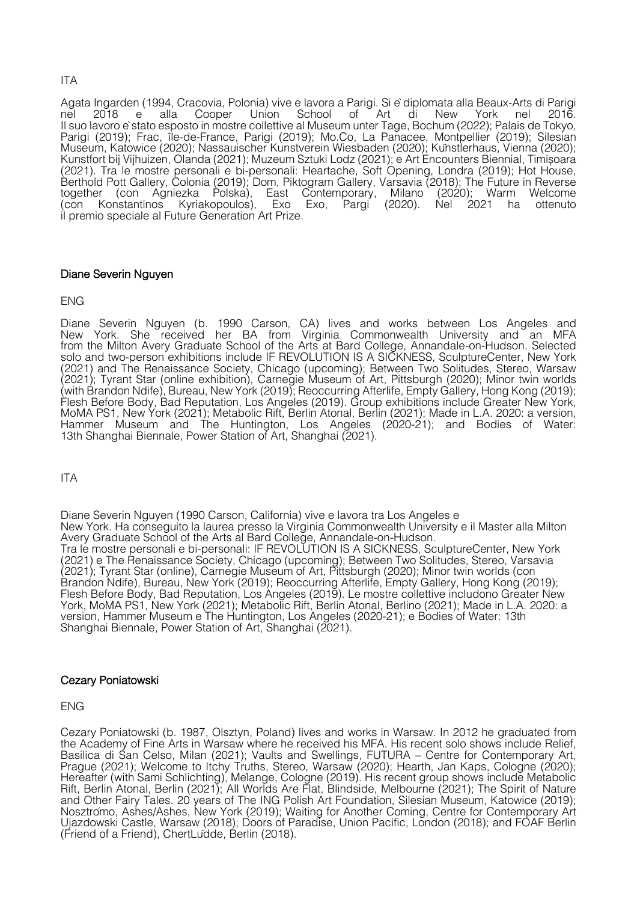# ITA

Agata Ingarden (1994, Cracovia, Polonia) vive e lavora a Parigi. Si èdiplomata alla Beaux-Arts di Parigi nel 2018 e alla Cooper Union School of Art di New York nel 2016. Il suo lavoro èstato esposto in mostre collettive al Museum unter Tage, Bochum (2022); Palais de Tokyo, Parigi (2019); Frac, île-de-France, Parigi (2019); Mo.Co, La Panacee, Montpellier (2019); Silesian Museum, Katowice (2020); Nassauischer Kunstverein Wiesbaden (2020); Künstlerhaus, Vienna (2020); Kunstfort bij Vijhuizen, Olanda (2021); Muzeum Sztuki Lodz (2021); e Art Encounters Biennial, Timisoara ̦ (2021). Tra le mostre personali e bi-personali: Heartache, Soft Opening, Londra (2019); Hot House, Berthold Pott Gallery, Colonia (2019); Dom, Piktogram Gallery, Varsavia (2018); The Future in Reverse together (con Agniezka Polska), East Contemporary, Milano (2020); Warm Welcome (con Konstantinos Kyriakopoulos), Exo Exo, Pargi (2020). Nel 2021 ha ottenuto il premio speciale al Future Generation Art Prize.

# Diane Severin Nguyen

# ENG

Diane Severin Nguyen (b. 1990 Carson, CA) lives and works between Los Angeles and New York. She received her BA from Virginia Commonwealth University and an MFA from the Milton Avery Graduate School of the Arts at Bard College, Annandale-on-Hudson. Selected solo and two-person exhibitions include IF REVOLUTION IS A SICKNESS, SculptureCenter, New York (2021) and The Renaissance Society, Chicago (upcoming); Between Two Solitudes, Stereo, Warsaw (2021); Tyrant Star (online exhibition), Carnegie Museum of Art, Pittsburgh (2020); Minor twin worlds (with Brandon Ndife), Bureau, New York (2019); Reoccurring Afterlife, Empty Gallery, Hong Kong (2019); Flesh Before Body, Bad Reputation, Los Angeles (2019). Group exhibitions include Greater New York, MoMA PS1, New York (2021); Metabolic Rift, Berlin Atonal, Berlin (2021); Made in L.A. 2020: a version, Hammer Museum and The Huntington, Los Angeles (2020-21); and Bodies of Water: 13th Shanghai Biennale, Power Station of Art, Shanghai (2021).

# ITA

Diane Severin Nguyen (1990 Carson, California) vive e lavora tra Los Angeles e New York. Ha conseguito la laurea presso la Virginia Commonwealth University e il Master alla Milton Avery Graduate School of the Arts al Bard College, Annandale-on-Hudson. Tra le mostre personali e bi-personali: IF REVOLUTION IS A SICKNESS, SculptureCenter, New York (2021) e The Renaissance Society, Chicago (upcoming); Between Two Solitudes, Stereo, Varsavia (2021); Tyrant Star (online), Carnegie Museum of Art, Pittsburgh (2020); Minor twin worlds (con Brandon Ndife), Bureau, New York (2019); Reoccurring Afterlife, Empty Gallery, Hong Kong (2019); Flesh Before Body, Bad Reputation, Los Angeles (2019). Le mostre collettive includono Greater New York, MoMA PS1, New York (2021); Metabolic Rift, Berlin Atonal, Berlino (2021); Made in L.A. 2020: a version, Hammer Museum e The Huntington, Los Angeles (2020-21); e Bodies of Water: 13th Shanghai Biennale, Power Station of Art, Shanghai (2021).

# Cezary Poniatowski

ENG

Cezary Poniatowski (b. 1987, Olsztyn, Poland) lives and works in Warsaw. In 2012 he graduated from Basilica di San Celso, Milan (2021); Vaults and Swellings, FUTURA – Centre for Contemporary Art, Prague (2021); Welcome to Itchy Truths, Stereo, Warsaw (2020); Hearth, Jan Kaps, Cologne (2020); Hereafter (with Sami Schlichting), Melange, Cologne (2019). His recent group shows include Metabolic Rift, Berlin Atonal, Berlin (2021); All Worlds Are Flat, Blindside, Melbourne (2021); The Spirit of Nature and Other Fairy Tales. 20 years of The ING Polish Art Foundation, Silesian Museum, Katowice (2019); Nosztrómo, Ashes/Ashes, New York (2019); Waiting for Another Coming, Centre for Contemporary Art Ujazdowski Castle, Warsaw (2018); Doors of Paradise, Union Pacific, London (2018); and FOAF Berlin (Friend of a Friend), ChertLüdde, Berlin (2018).